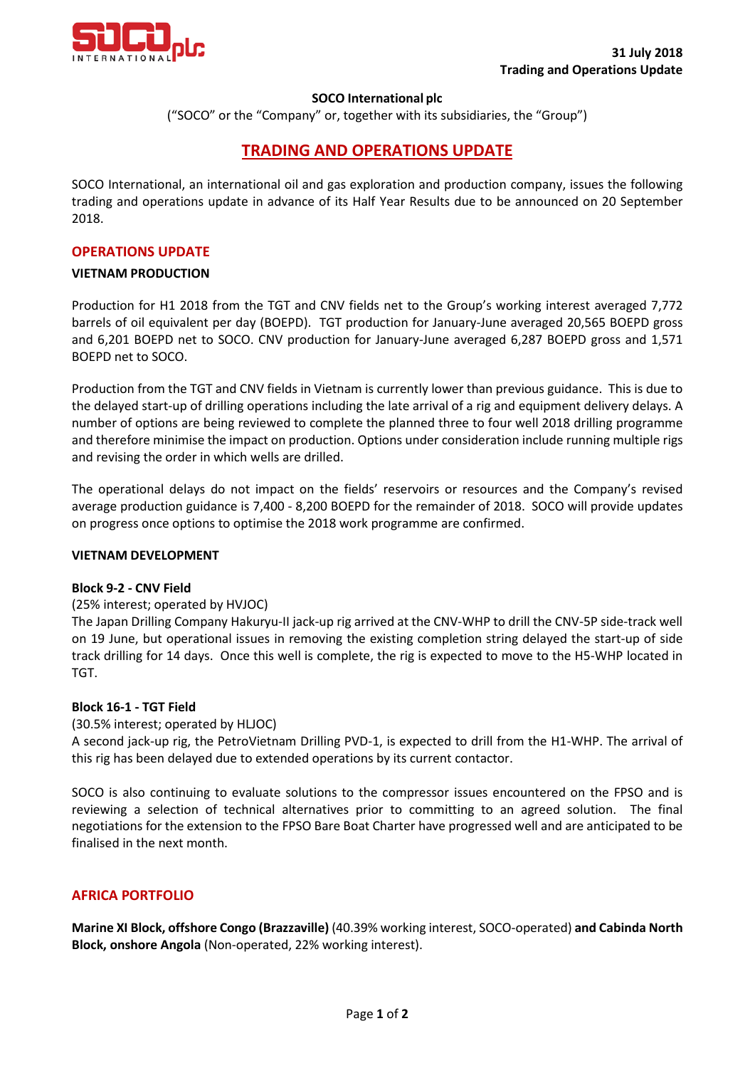

### **SOCO International plc**

("SOCO" or the "Company" or, together with its subsidiaries, the "Group")

# **TRADING AND OPERATIONS UPDATE**

SOCO International, an international oil and gas exploration and production company, issues the following trading and operations update in advance of its Half Year Results due to be announced on 20 September 2018.

#### **OPERATIONS UPDATE**

#### **VIETNAM PRODUCTION**

Production for H1 2018 from the TGT and CNV fields net to the Group's working interest averaged 7,772 barrels of oil equivalent per day (BOEPD). TGT production for January-June averaged 20,565 BOEPD gross and 6,201 BOEPD net to SOCO. CNV production for January-June averaged 6,287 BOEPD gross and 1,571 BOEPD net to SOCO.

Production from the TGT and CNV fields in Vietnam is currently lower than previous guidance. This is due to the delayed start-up of drilling operations including the late arrival of a rig and equipment delivery delays. A number of options are being reviewed to complete the planned three to four well 2018 drilling programme and therefore minimise the impact on production. Options under consideration include running multiple rigs and revising the order in which wells are drilled.

The operational delays do not impact on the fields' reservoirs or resources and the Company's revised average production guidance is 7,400 - 8,200 BOEPD for the remainder of 2018. SOCO will provide updates on progress once options to optimise the 2018 work programme are confirmed.

#### **VIETNAM DEVELOPMENT**

#### **Block 9-2 - CNV Field**

### (25% interest; operated by HVJOC)

The Japan Drilling Company Hakuryu-II jack-up rig arrived at the CNV-WHP to drill the CNV-5P side-track well on 19 June, but operational issues in removing the existing completion string delayed the start-up of side track drilling for 14 days. Once this well is complete, the rig is expected to move to the H5-WHP located in TGT.

### **Block 16-1 - TGT Field**

### (30.5% interest; operated by HLJOC)

A second jack-up rig, the PetroVietnam Drilling PVD-1, is expected to drill from the H1-WHP. The arrival of this rig has been delayed due to extended operations by its current contactor.

SOCO is also continuing to evaluate solutions to the compressor issues encountered on the FPSO and is reviewing a selection of technical alternatives prior to committing to an agreed solution. The final negotiations for the extension to the FPSO Bare Boat Charter have progressed well and are anticipated to be finalised in the next month.

## **AFRICA PORTFOLIO**

**Marine XI Block, offshore Congo (Brazzaville)** (40.39% working interest, SOCO-operated) **and Cabinda North Block, onshore Angola** (Non-operated, 22% working interest).